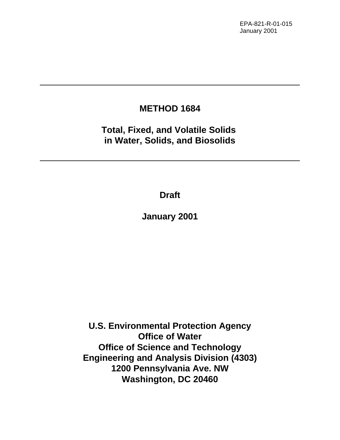EPA-821-R-01-015 January 2001

# **METHOD 1684**

**Total, Fixed, and Volatile Solids in Water, Solids, and Biosolids**

**Draft**

**January 2001**

**U.S. Environmental Protection Agency Office of Water Office of Science and Technology Engineering and Analysis Division (4303) 1200 Pennsylvania Ave. NW Washington, DC 20460**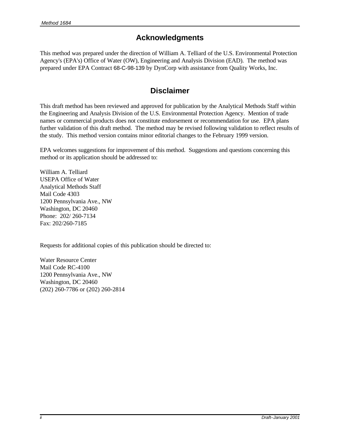# **Acknowledgments**

This method was prepared under the direction of William A. Telliard of the U.S. Environmental Protection Agency's (EPA's) Office of Water (OW), Engineering and Analysis Division (EAD). The method was prepared under EPA Contract 68-C-98-139 by DynCorp with assistance from Quality Works, Inc.

# **Disclaimer**

This draft method has been reviewed and approved for publication by the Analytical Methods Staff within the Engineering and Analysis Division of the U.S. Environmental Protection Agency. Mention of trade names or commercial products does not constitute endorsement or recommendation for use. EPA plans further validation of this draft method. The method may be revised following validation to reflect results of the study. This method version contains minor editorial changes to the February 1999 version.

EPA welcomes suggestions for improvement of this method. Suggestions and questions concerning this method or its application should be addressed to:

William A. Telliard USEPA Office of Water Analytical Methods Staff Mail Code 4303 1200 Pennsylvania Ave., NW Washington, DC 20460 Phone: 202/ 260-7134 Fax: 202/260-7185

Requests for additional copies of this publication should be directed to:

Water Resource Center Mail Code RC-4100 1200 Pennsylvania Ave., NW Washington, DC 20460 (202) 260-7786 or (202) 260-2814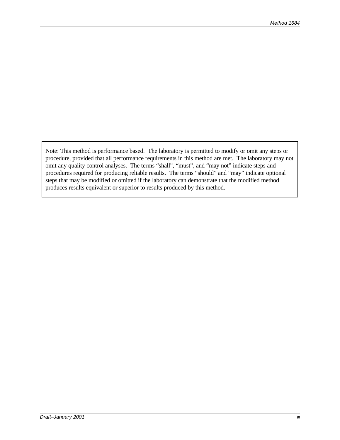Note: This method is performance based. The laboratory is permitted to modify or omit any steps or procedure, provided that all performance requirements in this method are met. The laboratory may not omit any quality control analyses. The terms "shall", "must", and "may not" indicate steps and procedures required for producing reliable results. The terms "should" and "may" indicate optional steps that may be modified or omitted if the laboratory can demonstrate that the modified method produces results equivalent or superior to results produced by this method.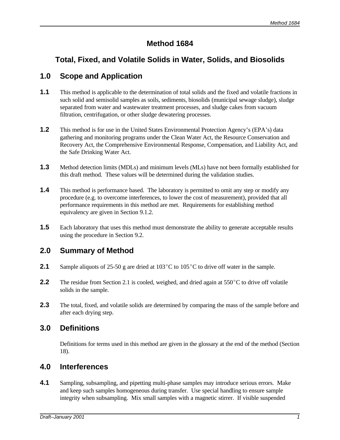# **Method 1684**

# **Total, Fixed, and Volatile Solids in Water, Solids, and Biosolids**

### **1.0 Scope and Application**

- **1.1** This method is applicable to the determination of total solids and the fixed and volatile fractions in such solid and semisolid samples as soils, sediments, biosolids (municipal sewage sludge), sludge separated from water and wastewater treatment processes, and sludge cakes from vacuum filtration, centrifugation, or other sludge dewatering processes.
- **1.2** This method is for use in the United States Environmental Protection Agency's (EPA's) data gathering and monitoring programs under the Clean Water Act, the Resource Conservation and Recovery Act, the Comprehensive Environmental Response, Compensation, and Liability Act, and the Safe Drinking Water Act.
- **1.3** Method detection limits (MDLs) and minimum levels (MLs) have not been formally established for this draft method. These values will be determined during the validation studies.
- **1.4** This method is performance based. The laboratory is permitted to omit any step or modify any procedure (e.g. to overcome interferences, to lower the cost of measurement), provided that all performance requirements in this method are met. Requirements for establishing method equivalency are given in Section 9.1.2.
- **1.5** Each laboratory that uses this method must demonstrate the ability to generate acceptable results using the procedure in Section 9.2.

#### **2.0 Summary of Method**

- **2.1** Sample aliquots of 25-50 g are dried at  $103^{\circ}$ C to  $105^{\circ}$ C to drive off water in the sample.
- **2.2** The residue from Section 2.1 is cooled, weighed, and dried again at  $550^{\circ}$ C to drive off volatile solids in the sample.
- **2.3** The total, fixed, and volatile solids are determined by comparing the mass of the sample before and after each drying step.

#### **3.0 Definitions**

Definitions for terms used in this method are given in the glossary at the end of the method (Section 18).

#### **4.0 Interferences**

**4.1** Sampling, subsampling, and pipetting multi-phase samples may introduce serious errors. Make and keep such samples homogeneous during transfer. Use special handling to ensure sample integrity when subsampling. Mix small samples with a magnetic stirrer. If visible suspended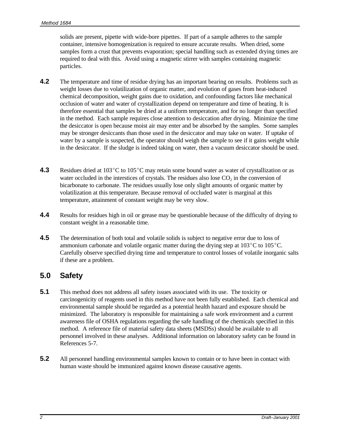solids are present, pipette with wide-bore pipettes. If part of a sample adheres to the sample container, intensive homogenization is required to ensure accurate results. When dried, some samples form a crust that prevents evaporation; special handling such as extended drying times are required to deal with this. Avoid using a magnetic stirrer with samples containing magnetic particles.

- **4.2** The temperature and time of residue drying has an important bearing on results. Problems such as weight losses due to volatilization of organic matter, and evolution of gases from heat-induced chemical decomposition, weight gains due to oxidation, and confounding factors like mechanical occlusion of water and water of crystallization depend on temperature and time of heating. It is therefore essential that samples be dried at a uniform temperature, and for no longer than specified in the method. Each sample requires close attention to desiccation after drying. Minimize the time the desiccator is open because moist air may enter and be absorbed by the samples. Some samples may be stronger desiccants than those used in the desiccator and may take on water. If uptake of water by a sample is suspected, the operator should weigh the sample to see if it gains weight while in the desiccator. If the sludge is indeed taking on water, then a vacuum desiccator should be used.
- **4.3** Residues dried at 103°C to 105°C may retain some bound water as water of crystallization or as water occluded in the interstices of crystals. The residues also lose  $CO<sub>2</sub>$  in the conversion of bicarbonate to carbonate. The residues usually lose only slight amounts of organic matter by volatilization at this temperature. Because removal of occluded water is marginal at this temperature, attainment of constant weight may be very slow.
- **4.4** Results for residues high in oil or grease may be questionable because of the difficulty of drying to constant weight in a reasonable time.
- **4.5** The determination of both total and volatile solids is subject to negative error due to loss of ammonium carbonate and volatile organic matter during the drying step at  $103^{\circ}$ C to  $105^{\circ}$ C. Carefully observe specified drying time and temperature to control losses of volatile inorganic salts if these are a problem.

# **5.0 Safety**

- **5.1** This method does not address all safety issues associated with its use. The toxicity or carcinogenicity of reagents used in this method have not been fully established. Each chemical and environmental sample should be regarded as a potential health hazard and exposure should be minimized. The laboratory is responsible for maintaining a safe work environment and a current awareness file of OSHA regulations regarding the safe handling of the chemicals specified in this method. A reference file of material safety data sheets (MSDSs) should be available to all personnel involved in these analyses. Additional information on laboratory safety can be found in References 5-7.
- **5.2** All personnel handling environmental samples known to contain or to have been in contact with human waste should be immunized against known disease causative agents.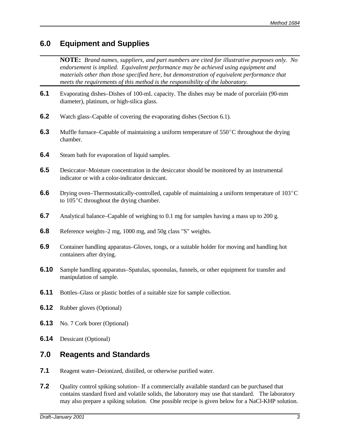# **6.0 Equipment and Supplies**

**NOTE:** *Brand names, suppliers, and part numbers are cited for illustrative purposes only. No endorsement is implied. Equivalent performance may be achieved using equipment and materials other than those specified here, but demonstration of equivalent performance that meets the requirements of this method is the responsibility of the laboratory.* 

- **6.1** Evaporating dishes–Dishes of 100-mL capacity. The dishes may be made of porcelain (90-mm diameter), platinum, or high-silica glass.
- **6.2** Watch glass–Capable of covering the evaporating dishes (Section 6.1).
- **6.3** Muffle furnace–Capable of maintaining a uniform temperature of  $550^{\circ}$ C throughout the drying chamber.
- **6.4** Steam bath for evaporation of liquid samples.
- **6.5** Desiccator–Moisture concentration in the desiccator should be monitored by an instrumental indicator or with a color-indicator desiccant.
- **6.6** Drying oven–Thermostatically-controlled, capable of maintaining a uniform temperature of 103<sup>°</sup>C to  $105^{\circ}$ C throughout the drying chamber.
- **6.7** Analytical balance–Capable of weighing to 0.1 mg for samples having a mass up to 200 g.
- **6.8** Reference weights–2 mg, 1000 mg, and 50g class "S" weights.
- **6.9** Container handling apparatus–Gloves, tongs, or a suitable holder for moving and handling hot containers after drying.
- **6.10** Sample handling apparatus–Spatulas, spoonulas, funnels, or other equipment for transfer and manipulation of sample.
- **6.11** Bottles–Glass or plastic bottles of a suitable size for sample collection.
- **6.12** Rubber gloves (Optional)
- **6.13** No. 7 Cork borer (Optional)
- **6.14** Dessicant (Optional)

# **7.0 Reagents and Standards**

- **7.1** Reagent water–Deionized, distilled, or otherwise purified water.
- **7.2** Quality control spiking solution– If a commercially available standard can be purchased that contains standard fixed and volatile solids, the laboratory may use that standard. The laboratory may also prepare a spiking solution. One possible recipe is given below for a NaCl-KHP solution.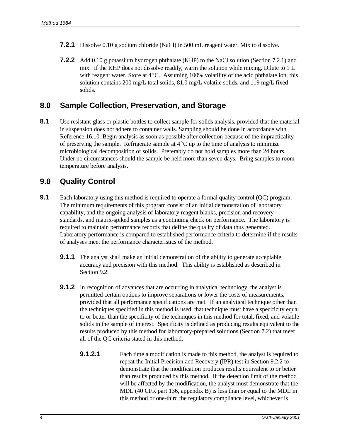- **7.2.1** Dissolve 0.10 g sodium chloride (NaCl) in 500 mL reagent water. Mix to dissolve.
- **7.2.2** Add 0.10 g potassium hydrogen phthalate (KHP) to the NaCl solution (Section 7.2.1) and mix. If the KHP does not dissolve readily, warm the solution while mixing. Dilute to 1 L with reagent water. Store at  $4^{\circ}$ C. Assuming 100% volatility of the acid phthalate ion, this solution contains 200 mg/L total solids, 81.0 mg/L volatile solids, and 119 mg/L fixed solids.

#### **8.0 Sample Collection, Preservation, and Storage**

8.1 Use resistant-glass or plastic bottles to collect sample for solids analysis, provided that the material in suspension does not adhere to container walls. Sampling should be done in accordance with Reference 16.10. Begin analysis as soon as possible after collection because of the impracticality of preserving the sample. Refrigerate sample at  $4^{\circ}$ C up to the time of analysis to minimize microbiological decomposition of solids. Preferably do not hold samples more than 24 hours. Under no circumstances should the sample be held more than seven days. Bring samples to room temperature before analysis.

### **9.0 Quality Control**

- **9.1** Each laboratory using this method is required to operate a formal quality control (QC) program. The minimum requirements of this program consist of an initial demonstration of laboratory capability, and the ongoing analysis of laboratory reagent blanks, precision and recovery standards, and matrix-spiked samples as a continuing check on performance. The laboratory is required to maintain performance records that define the quality of data thus generated. Laboratory performance is compared to established performance criteria to determine if the results of analyses meet the performance characteristics of the method.
	- **9.1.1** The analyst shall make an initial demonstration of the ability to generate acceptable accuracy and precision with this method. This ability is established as described in Section 9.2.
	- **9.1.2** In recognition of advances that are occurring in analytical technology, the analyst is permitted certain options to improve separations or lower the costs of measurements, provided that all performance specifications are met. If an analytical technique other than the techniques specified in this method is used, that technique must have a specificity equal to or better than the specificity of the techniques in this method for total, fixed, and volatile solids in the sample of interest. Specificity is defined as producing results equivalent to the results produced by this method for laboratory-prepared solutions (Section 7.2) that meet all of the QC criteria stated in this method.
		- **9.1.2.1** Each time a modification is made to this method, the analyst is required to repeat the Initial Precision and Recovery (IPR) test in Section 9.2.2 to demonstrate that the modification produces results equivalent to or better than results produced by this method. If the detection limit of the method will be affected by the modification, the analyst must demonstrate that the MDL (40 CFR part 136, appendix B) is less than or equal to the MDL in this method or one-third the regulatory compliance level, whichever is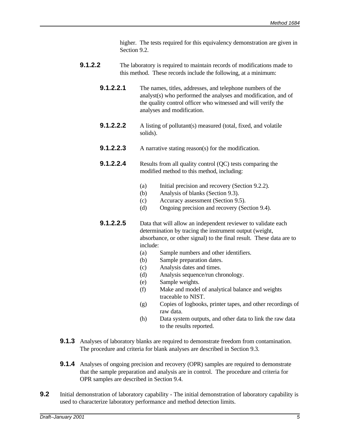higher. The tests required for this equivalency demonstration are given in Section 9.2.

- **9.1.2.2** The laboratory is required to maintain records of modifications made to this method. These records include the following, at a minimum:
	- **9.1.2.2.1** The names, titles, addresses, and telephone numbers of the analyst(s) who performed the analyses and modification, and of the quality control officer who witnessed and will verify the analyses and modification.
	- **9.1.2.2.2** A listing of pollutant(s) measured (total, fixed, and volatile solids).
	- **9.1.2.2.3** A narrative stating reason(s) for the modification.
	- **9.1.2.2.4** Results from all quality control (QC) tests comparing the modified method to this method, including:
		- (a) Initial precision and recovery (Section 9.2.2).
		- (b) Analysis of blanks (Section 9.3).
		- (c) Accuracy assessment (Section 9.5).
		- (d) Ongoing precision and recovery (Section 9.4).
	- **9.1.2.2.5** Data that will allow an independent reviewer to validate each determination by tracing the instrument output (weight, absorbance, or other signal) to the final result. These data are to include:
		- (a) Sample numbers and other identifiers.
		- (b) Sample preparation dates.
		- (c) Analysis dates and times.
		- (d) Analysis sequence/run chronology.
		- (e) Sample weights.
		- (f) Make and model of analytical balance and weights traceable to NIST.
		- (g) Copies of logbooks, printer tapes, and other recordings of raw data.
		- (h) Data system outputs, and other data to link the raw data to the results reported.
- **9.1.3** Analyses of laboratory blanks are required to demonstrate freedom from contamination. The procedure and criteria for blank analyses are described in Section 9.3.
- **9.1.4** Analyses of ongoing precision and recovery (OPR) samples are required to demonstrate that the sample preparation and analysis are in control. The procedure and criteria for OPR samples are described in Section 9.4.
- **9.2** Initial demonstration of laboratory capability The initial demonstration of laboratory capability is used to characterize laboratory performance and method detection limits.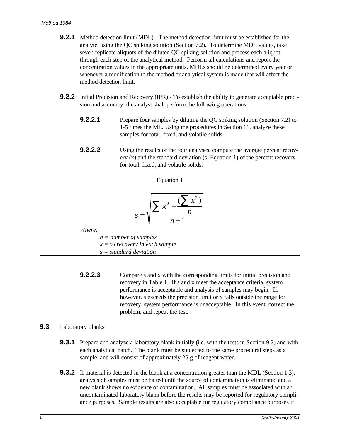- **9.2.1** Method detection limit (MDL) The method detection limit must be established for the analyte, using the QC spiking solution (Section 7.2). To determine MDL values, take seven replicate aliquots of the diluted QC spiking solution and process each aliquot through each step of the analytical method. Perform all calculations and report the concentration values in the appropriate units. MDLs should be determined every year or whenever a modification to the method or analytical system is made that will affect the method detection limit.
- **9.2.2** Initial Precision and Recovery (IPR) To establish the ability to generate acceptable precision and accuracy, the analyst shall perform the following operations:
	- **9.2.2.1** Prepare four samples by diluting the OC spiking solution (Section 7.2) to 1-5 times the ML. Using the procedures in Section 11, analyze these samples for total, fixed, and volatile solids.
	- **9.2.2.2** Using the results of the four analyses, compute the average percent recovery (x) and the standard deviation (s, Equation 1) of the percent recovery for total, fixed, and volatile solids.

| Equation 1                       |
|----------------------------------|
|                                  |
| $\boldsymbol{n}$<br>$S =$        |
| Where:                           |
| $n = number of samples$          |
| $x = \%$ recovery in each sample |
| $s = standard deviation$         |

**9.2.2.3** Compare s and x with the corresponding limits for initial precision and recovery in Table 1. If s and x meet the acceptance criteria, system performance is acceptable and analysis of samples may begin. If, however, s exceeds the precision limit or x falls outside the range for recovery, system performance is unacceptable. In this event, correct the problem, and repeat the test.

#### **9.3** Laboratory blanks

- **9.3.1** Prepare and analyze a laboratory blank initially (i.e. with the tests in Section 9.2) and with each analytical batch. The blank must be subjected to the same procedural steps as a sample, and will consist of approximately 25 g of reagent water.
- **9.3.2** If material is detected in the blank at a concentration greater than the MDL (Section 1.3), analysis of samples must be halted until the source of contamination is eliminated and a new blank shows no evidence of contamination. All samples must be associated with an uncontaminated laboratory blank before the results may be reported for regulatory compliance purposes. Sample results are also acceptable for regulatory compliance purposes if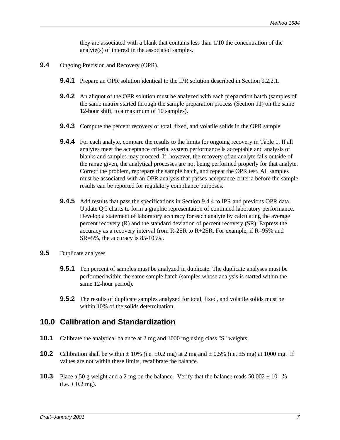they are associated with a blank that contains less than 1/10 the concentration of the analyte(s) of interest in the associated samples.

- **9.4** Ongoing Precision and Recovery (OPR).
	- **9.4.1** Prepare an OPR solution identical to the IPR solution described in Section 9.2.2.1.
	- **9.4.2** An aliquot of the OPR solution must be analyzed with each preparation batch (samples of the same matrix started through the sample preparation process (Section 11) on the same 12-hour shift, to a maximum of 10 samples).
	- **9.4.3** Compute the percent recovery of total, fixed, and volatile solids in the OPR sample.
	- **9.4.4** For each analyte, compare the results to the limits for ongoing recovery in Table 1. If all analytes meet the acceptance criteria, system performance is acceptable and analysis of blanks and samples may proceed. If, however, the recovery of an analyte falls outside of the range given, the analytical processes are not being performed properly for that analyte. Correct the problem, reprepare the sample batch, and repeat the OPR test. All samples must be associated with an OPR analysis that passes acceptance criteria before the sample results can be reported for regulatory compliance purposes.
	- **9.4.5** Add results that pass the specifications in Section 9.4.4 to IPR and previous OPR data. Update QC charts to form a graphic representation of continued laboratory performance. Develop a statement of laboratory accuracy for each analyte by calculating the average percent recovery (R) and the standard deviation of percent recovery (SR). Express the accuracy as a recovery interval from R-2SR to R+2SR. For example, if R=95% and SR=5%, the accuracy is 85-105%.
- **9.5** Duplicate analyses
	- **9.5.1** Ten percent of samples must be analyzed in duplicate. The duplicate analyses must be performed within the same sample batch (samples whose analysis is started within the same 12-hour period).
	- **9.5.2** The results of duplicate samples analyzed for total, fixed, and volatile solids must be within 10% of the solids determination.

#### **10.0 Calibration and Standardization**

- **10.1** Calibrate the analytical balance at 2 mg and 1000 mg using class "S" weights.
- **10.2** Calibration shall be within  $\pm 10\%$  (i.e.  $\pm 0.2$  mg) at 2 mg and  $\pm 0.5\%$  (i.e.  $\pm 5$  mg) at 1000 mg. If values are not within these limits, recalibrate the balance.
- **10.3** Place a 50 g weight and a 2 mg on the balance. Verify that the balance reads  $50.002 \pm 10$  %  $(i.e.  $\pm$  0.2 mg).$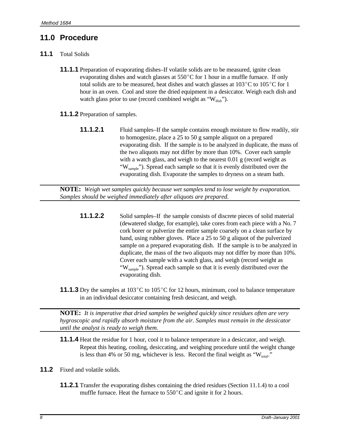# **11.0 Procedure**

- **11.1** Total Solids
	- **11.1.1** Preparation of evaporating dishes–If volatile solids are to be measured, ignite clean evaporating dishes and watch glasses at  $550^{\circ}$ C for 1 hour in a muffle furnace. If only total solids are to be measured, heat dishes and watch glasses at  $103^{\circ}$ C to  $105^{\circ}$ C for 1 hour in an oven. Cool and store the dried equipment in a desiccator. Weigh each dish and watch glass prior to use (record combined weight as " $W_{dish}$ ").
	- **11.1.2** Preparation of samples.
		- **11.1.2.1** Fluid samples–If the sample contains enough moisture to flow readily, stir to homogenize, place a 25 to 50 g sample aliquot on a prepared evaporating dish. If the sample is to be analyzed in duplicate, the mass of the two aliquots may not differ by more than 10%. Cover each sample with a watch glass, and weigh to the nearest 0.01 g (record weight as "W<sub>sample</sub>"). Spread each sample so that it is evenly distributed over the evaporating dish. Evaporate the samples to dryness on a steam bath.

**NOTE:** *Weigh wet samples quickly because wet samples tend to lose weight by evaporation. Samples should be weighed immediately after aliquots are prepared.*

- **11.1.2.2** Solid samples–If the sample consists of discrete pieces of solid material (dewatered sludge, for example), take cores from each piece with a No. 7 cork borer or pulverize the entire sample coarsely on a clean surface by hand, using rubber gloves. Place a 25 to 50 g aliquot of the pulverized sample on a prepared evaporating dish. If the sample is to be analyzed in duplicate, the mass of the two aliquots may not differ by more than 10%. Cover each sample with a watch glass, and weigh (record weight as "W<sub>sample</sub>"). Spread each sample so that it is evenly distributed over the evaporating dish.
- **11.1.3** Dry the samples at  $103^{\circ}$ C to  $105^{\circ}$ C for 12 hours, minimum, cool to balance temperature in an individual desiccator containing fresh desiccant, and weigh.

**NOTE:** *It is imperative that dried samples be weighed quickly since residues often are very hygroscopic and rapidly absorb moisture from the air. Samples must remain in the dessicator until the analyst is ready to weigh them.*

- **11.1.4** Heat the residue for 1 hour, cool it to balance temperature in a desiccator, and weigh. Repeat this heating, cooling, desiccating, and weighing procedure until the weight change is less than 4% or 50 mg, whichever is less. Record the final weight as " $W_{total}$ "
- **11.2** Fixed and volatile solids.
	- **11.2.1** Transfer the evaporating dishes containing the dried residues (Section 11.1.4) to a cool muffle furnace. Heat the furnace to  $550^{\circ}$ C and ignite it for 2 hours.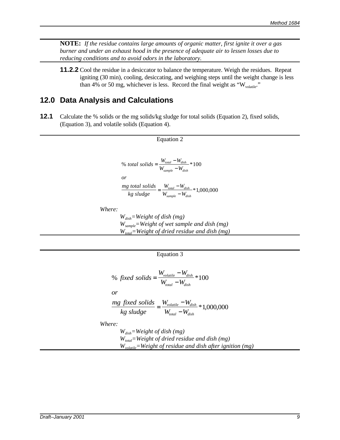**NOTE:** *If the residue contains large amounts of organic matter, first ignite it over a gas burner and under an exhaust hood in the presence of adequate air to lessen losses due to reducing conditions and to avoid odors in the laboratory.*

**11.2.2** Cool the residue in a desiccator to balance the temperature. Weigh the residues. Repeat igniting (30 min), cooling, desiccating, and weighing steps until the weight change is less than 4% or 50 mg, whichever is less. Record the final weight as " $W_{\text{volatile}}$ "

#### **12.0 Data Analysis and Calculations**

**12.1** Calculate the % solids or the mg solids/kg sludge for total solids (Equation 2), fixed solids, (Equation 3), and volatile solids (Equation 4).



Equation 2

*Where:*

*Wdish=Weight of dish (mg) Wsample=Weight of wet sample and dish (mg) Wtotal=Weight of dried residue and dish (mg)*

Equation 3

% fixed solids = 
$$
\frac{W_{volatile} - W_{dish}}{W_{total} - W_{dish}} * 100
$$

*or*

$$
\frac{mg \text{ fixed solids}}{kg \text{ sludge}} = \frac{W_{\text{volatile}} - W_{\text{dish}}}{W_{\text{total}} - W_{\text{dish}}} * 1,000,000
$$

*Where:*

*Wdish=Weight of dish (mg) Wtotal=Weight of dried residue and dish (mg) Wvolatile=Weight of residue and dish after ignition (mg)*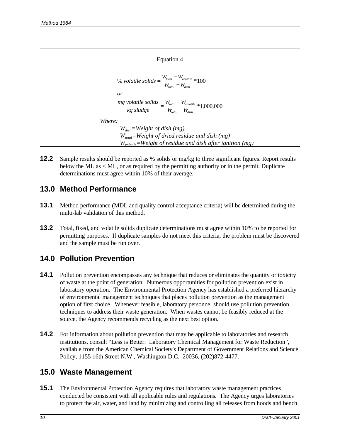#### Equation 4

% *volatile solids* =  $\frac{W_{total} - W_{volatile}}{W_{total}}$  $\frac{mg \text{ volatile solids}}{dm} = \frac{W_{total} - W_{volatile}}{WH} * 1,000,$  $W_{total} - W_{i}$ *or kg sludge*  $W_{total} - W$  $W_{total} - W_{c}$ *total volatile total dish total volatile total dish*  $=\frac{W_{total}-1}{\sqrt{2}}$  $\frac{W_{volatile}}{-W_{disk}} * 100$  $=\frac{W_{total}-1}{\sqrt{2}}$  $\frac{W_{volatile}}{-W_{disk}} * 1,000,000$ *Where: Wdish=Weight of dish (mg) Wtotal=Weight of dried residue and dish (mg) Wvolatile=Weight of residue and dish after ignition (mg)*

**12.2** Sample results should be reported as % solids or mg/kg to three significant figures. Report results below the ML as < ML, or as required by the permitting authority or in the permit. Duplicate determinations must agree within 10% of their average.

### **13.0 Method Performance**

- **13.1** Method performance (MDL and quality control acceptance criteria) will be determined during the multi-lab validation of this method.
- **13.2** Total, fixed, and volatile solids duplicate determinations must agree within 10% to be reported for permitting purposes. If duplicate samples do not meet this criteria, the problem must be discovered and the sample must be run over.

# **14.0 Pollution Prevention**

- **14.1** Pollution prevention encompasses any technique that reduces or eliminates the quantity or toxicity of waste at the point of generation. Numerous opportunities for pollution prevention exist in laboratory operation. The Environmental Protection Agency has established a preferred hierarchy of environmental management techniques that places pollution prevention as the management option of first choice. Whenever feasible, laboratory personnel should use pollution prevention techniques to address their waste generation. When wastes cannot be feasibly reduced at the source, the Agency recommends recycling as the next best option.
- **14.2** For information about pollution prevention that may be applicable to laboratories and research institutions, consult "Less is Better: Laboratory Chemical Management for Waste Reduction", available from the American Chemical Society's Department of Government Relations and Science Policy, 1155 16th Street N.W., Washington D.C. 20036, (202)872-4477.

# **15.0 Waste Management**

**15.1** The Environmental Protection Agency requires that laboratory waste management practices conducted be consistent with all applicable rules and regulations. The Agency urges laboratories to protect the air, water, and land by minimizing and controlling all releases from hoods and bench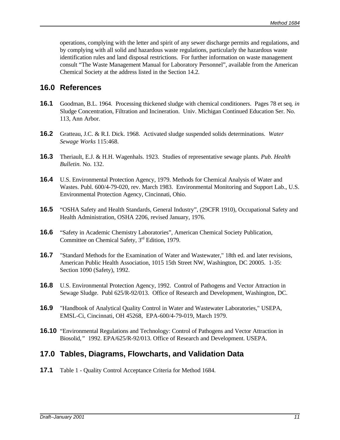operations, complying with the letter and spirit of any sewer discharge permits and regulations, and by complying with all solid and hazardous waste regulations, particularly the hazardous waste identification rules and land disposal restrictions. For further information on waste management consult "The Waste Management Manual for Laboratory Personnel", available from the American Chemical Society at the address listed in the Section 14.2.

### **16.0 References**

- **16.1** Goodman, B.L. 1964. Processing thickened sludge with chemical conditioners. Pages 78 et seq. *in* Sludge Concentration, Filtration and Incineration. Univ. Michigan Continued Education Ser. No. 113, Ann Arbor.
- **16.2** Gratteau, J.C. & R.I. Dick. 1968. Activated sludge suspended solids determinations. *Water Sewage Works* 115:468.
- **16.3** Theriault, E.J. & H.H. Wagenhals. 1923. Studies of representative sewage plants. *Pub. Health Bulletin.* No. 132.
- **16.4** U.S. Environmental Protection Agency, 1979. Methods for Chemical Analysis of Water and Wastes. Publ. 600/4-79-020, rev. March 1983. Environmental Monitoring and Support Lab., U.S. Environmental Protection Agency, Cincinnati, Ohio.
- **16.5** "OSHA Safety and Health Standards, General Industry", (29CFR 1910), Occupational Safety and Health Administration, OSHA 2206, revised January, 1976.
- **16.6** "Safety in Academic Chemistry Laboratories", American Chemical Society Publication, Committee on Chemical Safety, 3<sup>rd</sup> Edition, 1979.
- **16.7** "Standard Methods for the Examination of Water and Wastewater," 18th ed. and later revisions, American Public Health Association, 1015 15th Street NW, Washington, DC 20005. 1-35: Section 1090 (Safety), 1992.
- **16.8** U.S. Environmental Protection Agency, 1992. Control of Pathogens and Vector Attraction in Sewage Sludge. Publ 625/R-92/013. Office of Research and Development, Washington, DC.
- **16.9** "Handbook of Analytical Quality Control in Water and Wastewater Laboratories," USEPA, EMSL-Ci, Cincinnati, OH 45268, EPA-600/4-79-019, March 1979.
- **16.10** "Environmental Regulations and Technology: Control of Pathogens and Vector Attraction in Biosolid*,"* 1992. EPA/625/R-92/013. Office of Research and Development. USEPA.

# **17.0 Tables, Diagrams, Flowcharts, and Validation Data**

**17.1** Table 1 - Quality Control Acceptance Criteria for Method 1684.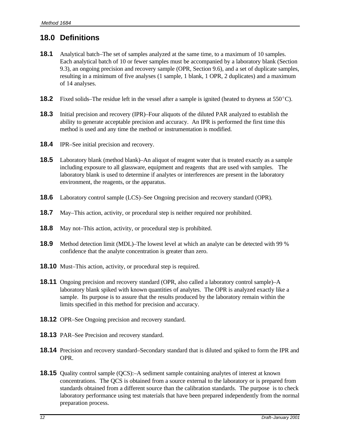# **18.0 Definitions**

- **18.1** Analytical batch–The set of samples analyzed at the same time, to a maximum of 10 samples. Each analytical batch of 10 or fewer samples must be accompanied by a laboratory blank (Section 9.3), an ongoing precision and recovery sample (OPR, Section 9.6), and a set of duplicate samples, resulting in a minimum of five analyses (1 sample, 1 blank, 1 OPR, 2 duplicates) and a maximum of 14 analyses.
- **18.2** Fixed solids–The residue left in the vessel after a sample is ignited (heated to dryness at  $550^{\circ}$ C).
- **18.3** Initial precision and recovery (IPR)–Four aliquots of the diluted PAR analyzed to establish the ability to generate acceptable precision and accuracy. An IPR is performed the first time this method is used and any time the method or instrumentation is modified.
- **18.4** IPR–See initial precision and recovery.
- **18.5** Laboratory blank (method blank)–An aliquot of reagent water that is treated exactly as a sample including exposure to all glassware, equipment and reagents that are used with samples. The laboratory blank is used to determine if analytes or interferences are present in the laboratory environment, the reagents, or the apparatus.
- **18.6** Laboratory control sample (LCS)–See Ongoing precision and recovery standard (OPR).
- **18.7** May–This action, activity, or procedural step is neither required nor prohibited.
- **18.8** May not–This action, activity, or procedural step is prohibited.
- **18.9** Method detection limit (MDL)–The lowest level at which an analyte can be detected with 99 % confidence that the analyte concentration is greater than zero.
- **18.10** Must–This action, activity, or procedural step is required.
- **18.11** Ongoing precision and recovery standard (OPR, also called a laboratory control sample)–A laboratory blank spiked with known quantities of analytes. The OPR is analyzed exactly like a sample. Its purpose is to assure that the results produced by the laboratory remain within the limits specified in this method for precision and accuracy.
- **18.12** OPR–See Ongoing precision and recovery standard.
- **18.13** PAR–See Precision and recovery standard.
- **18.14** Precision and recovery standard–Secondary standard that is diluted and spiked to form the IPR and OPR.
- **18.15** Quality control sample (QCS):–A sediment sample containing analytes of interest at known concentrations. The QCS is obtained from a source external to the laboratory or is prepared from standards obtained from a different source than the calibration standards. The purpose is to check laboratory performance using test materials that have been prepared independently from the normal preparation process.